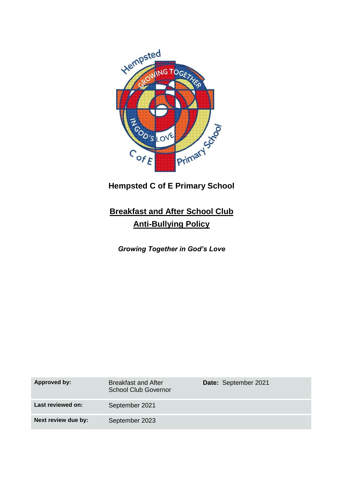

**Hempsted C of E Primary School**

## **Breakfast and After School Club Anti-Bullying Policy**

*Growing Together in God's Love*

| Approved by:        | <b>Breakfast and After</b><br>School Club Governor | Date: September 2021 |
|---------------------|----------------------------------------------------|----------------------|
| Last reviewed on:   | September 2021                                     |                      |
| Next review due by: | September 2023                                     |                      |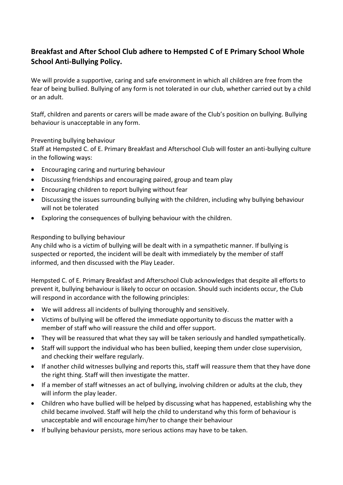## **Breakfast and After School Club adhere to Hempsted C of E Primary School Whole School Anti-Bullying Policy.**

We will provide a supportive, caring and safe environment in which all children are free from the fear of being bullied. Bullying of any form is not tolerated in our club, whether carried out by a child or an adult.

Staff, children and parents or carers will be made aware of the Club's position on bullying. Bullying behaviour is unacceptable in any form.

## Preventing bullying behaviour

Staff at Hempsted C. of E. Primary Breakfast and Afterschool Club will foster an anti-bullying culture in the following ways:

- Encouraging caring and nurturing behaviour
- Discussing friendships and encouraging paired, group and team play
- Encouraging children to report bullying without fear
- Discussing the issues surrounding bullying with the children, including why bullying behaviour will not be tolerated
- Exploring the consequences of bullying behaviour with the children.

## Responding to bullying behaviour

Any child who is a victim of bullying will be dealt with in a sympathetic manner. If bullying is suspected or reported, the incident will be dealt with immediately by the member of staff informed, and then discussed with the Play Leader.

Hempsted C. of E. Primary Breakfast and Afterschool Club acknowledges that despite all efforts to prevent it, bullying behaviour is likely to occur on occasion. Should such incidents occur, the Club will respond in accordance with the following principles:

- We will address all incidents of bullying thoroughly and sensitively.
- Victims of bullying will be offered the immediate opportunity to discuss the matter with a member of staff who will reassure the child and offer support.
- They will be reassured that what they say will be taken seriously and handled sympathetically.
- Staff will support the individual who has been bullied, keeping them under close supervision, and checking their welfare regularly.
- If another child witnesses bullying and reports this, staff will reassure them that they have done the right thing. Staff will then investigate the matter.
- If a member of staff witnesses an act of bullying, involving children or adults at the club, they will inform the play leader.
- Children who have bullied will be helped by discussing what has happened, establishing why the child became involved. Staff will help the child to understand why this form of behaviour is unacceptable and will encourage him/her to change their behaviour
- If bullying behaviour persists, more serious actions may have to be taken.